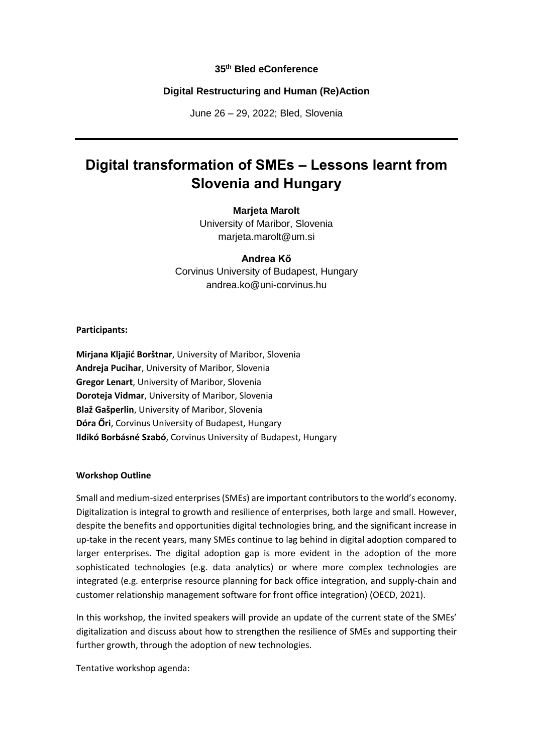## **35 th Bled eConference**

## **Digital Restructuring and Human (Re)Action**

June 26 – 29, 2022; Bled, Slovenia

## **Digital transformation of SMEs – Lessons learnt from Slovenia and Hungary**

**Marjeta Marolt**

University of Maribor, Slovenia marjeta.marolt@um.si

**Andrea Kő** Corvinus University of Budapest, Hungary andrea.ko@uni-corvinus.hu

**Participants:**

**Mirjana Kljajić Borštnar**, University of Maribor, Slovenia **Andreja Pucihar**, University of Maribor, Slovenia **Gregor Lenart**, University of Maribor, Slovenia **Doroteja Vidmar**, University of Maribor, Slovenia **Blaž Gašperlin**, University of Maribor, Slovenia **Dóra Őri**, Corvinus University of Budapest, Hungary **Ildikó Borbásné Szabó**, Corvinus University of Budapest, Hungary

## **Workshop Outline**

Small and medium-sized enterprises (SMEs) are important contributors to the world's economy. Digitalization is integral to growth and resilience of enterprises, both large and small. However, despite the benefits and opportunities digital technologies bring, and the significant increase in up-take in the recent years, many SMEs continue to lag behind in digital adoption compared to larger enterprises. The digital adoption gap is more evident in the adoption of the more sophisticated technologies (e.g. data analytics) or where more complex technologies are integrated (e.g. enterprise resource planning for back office integration, and supply-chain and customer relationship management software for front office integration) (OECD, 2021).

In this workshop, the invited speakers will provide an update of the current state of the SMEs' digitalization and discuss about how to strengthen the resilience of SMEs and supporting their further growth, through the adoption of new technologies.

Tentative workshop agenda: